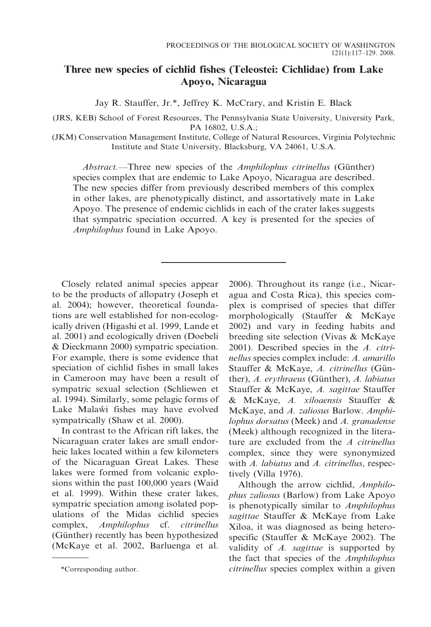# Three new species of cichlid fishes (Teleostei: Cichlidae) from Lake Apoyo, Nicaragua

Jay R. Stauffer, Jr.\*, Jeffrey K. McCrary, and Kristin E. Black

(JRS, KEB) School of Forest Resources, The Pennsylvania State University, University Park, PA 16802, U.S.A.;

(JKM) Conservation Management Institute, College of Natural Resources, Virginia Polytechnic Institute and State University, Blacksburg, VA 24061, U.S.A.

Abstract.—Three new species of the Amphilophus citrinellus (Günther) species complex that are endemic to Lake Apoyo, Nicaragua are described. The new species differ from previously described members of this complex in other lakes, are phenotypically distinct, and assortatively mate in Lake Apoyo. The presence of endemic cichlids in each of the crater lakes suggests that sympatric speciation occurred. A key is presented for the species of Amphilophus found in Lake Apoyo.

Closely related animal species appear to be the products of allopatry (Joseph et al. 2004); however, theoretical foundations are well established for non-ecologically driven (Higashi et al. 1999, Lande et al. 2001) and ecologically driven (Doebeli & Dieckmann 2000) sympatric speciation. For example, there is some evidence that speciation of cichlid fishes in small lakes in Cameroon may have been a result of sympatric sexual selection (Schliewen et al. 1994). Similarly, some pelagic forms of Lake Malaw<sup>i</sup> fishes may have evolved sympatrically (Shaw et al. 2000).

In contrast to the African rift lakes, the Nicaraguan crater lakes are small endorheic lakes located within a few kilometers of the Nicaraguan Great Lakes. These lakes were formed from volcanic explosions within the past 100,000 years (Waid et al. 1999). Within these crater lakes, sympatric speciation among isolated populations of the Midas cichlid species complex, Amphilophus cf. citrinellus (Günther) recently has been hypothesized (McKaye et al. 2002, Barluenga et al. 2006). Throughout its range (i.e., Nicaragua and Costa Rica), this species complex is comprised of species that differ morphologically (Stauffer & McKaye 2002) and vary in feeding habits and breeding site selection (Vivas & McKaye 2001). Described species in the A. citrinellus species complex include: A. amarillo Stauffer & McKaye, A. citrinellus (Günther), A. erythraeus (Günther), A. labiatus Stauffer & McKaye, A. sagittae Stauffer & McKaye, A. xiloaensis Stauffer & McKaye, and A. zaliosus Barlow. Amphilophus dorsatus (Meek) and A. granadense (Meek) although recognized in the literature are excluded from the  $A$  citrinellus complex, since they were synonymized with A. labiatus and A. citrinellus, respectively (Villa 1976).

Although the arrow cichlid, Amphilophus zaliosus (Barlow) from Lake Apoyo is phenotypically similar to Amphilophus sagittae Stauffer & McKaye from Lake Xiloa, it was diagnosed as being heterospecific (Stauffer & McKaye 2002). The validity of A. sagittae is supported by the fact that species of the Amphilophus \*Corresponding author. citrinellus species complex within a given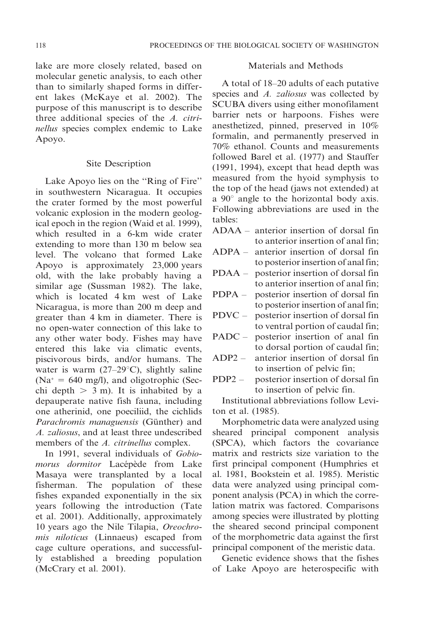lake are more closely related, based on molecular genetic analysis, to each other than to similarly shaped forms in different lakes (McKaye et al. 2002). The purpose of this manuscript is to describe three additional species of the A. citrinellus species complex endemic to Lake Apoyo.

### Site Description

Lake Apoyo lies on the ''Ring of Fire'' in southwestern Nicaragua. It occupies the crater formed by the most powerful volcanic explosion in the modern geological epoch in the region (Waid et al. 1999), which resulted in a 6-km wide crater extending to more than 130 m below sea level. The volcano that formed Lake Apoyo is approximately 23,000 years old, with the lake probably having a similar age (Sussman 1982). The lake, which is located 4 km west of Lake Nicaragua, is more than 200 m deep and greater than 4 km in diameter. There is no open-water connection of this lake to any other water body. Fishes may have entered this lake via climatic events, piscivorous birds, and/or humans. The water is warm (27–29 $^{\circ}$ C), slightly saline  $(Na^* = 640 \text{ mg/l})$ , and oligotrophic (Secchi depth  $> 3$  m). It is inhabited by a depauperate native fish fauna, including one atherinid, one poeciliid, the cichlids Parachromis managuensis (Günther) and A. zaliosus, and at least three undescribed members of the A. citrinellus complex.

In 1991, several individuals of Gobiomorus dormitor Lacépède from Lake Masaya were transplanted by a local fisherman. The population of these fishes expanded exponentially in the six years following the introduction (Tate et al. 2001). Additionally, approximately 10 years ago the Nile Tilapia, Oreochromis niloticus (Linnaeus) escaped from cage culture operations, and successfully established a breeding population (McCrary et al. 2001).

### Materials and Methods

A total of 18–20 adults of each putative species and A. zaliosus was collected by SCUBA divers using either monofilament barrier nets or harpoons. Fishes were anesthetized, pinned, preserved in 10% formalin, and permanently preserved in 70% ethanol. Counts and measurements followed Barel et al. (1977) and Stauffer (1991, 1994), except that head depth was measured from the hyoid symphysis to the top of the head (jaws not extended) at a  $90^\circ$  angle to the horizontal body axis. Following abbreviations are used in the tables:

- ADAA anterior insertion of dorsal fin to anterior insertion of anal fin;
- ADPA anterior insertion of dorsal fin to posterior insertion of anal fin;
- PDAA posterior insertion of dorsal fin to anterior insertion of anal fin;
- PDPA posterior insertion of dorsal fin to posterior insertion of anal fin;
- PDVC posterior insertion of dorsal fin to ventral portion of caudal fin;
- PADC posterior insertion of anal fin to dorsal portion of caudal fin;
- ADP2 anterior insertion of dorsal fin to insertion of pelvic fin;
- PDP2 posterior insertion of dorsal fin to insertion of pelvic fin.

Institutional abbreviations follow Leviton et al. (1985).

Morphometric data were analyzed using sheared principal component analysis (SPCA), which factors the covariance matrix and restricts size variation to the first principal component (Humphries et al. 1981, Bookstein et al. 1985). Meristic data were analyzed using principal component analysis (PCA) in which the correlation matrix was factored. Comparisons among species were illustrated by plotting the sheared second principal component of the morphometric data against the first principal component of the meristic data.

Genetic evidence shows that the fishes of Lake Apoyo are heterospecific with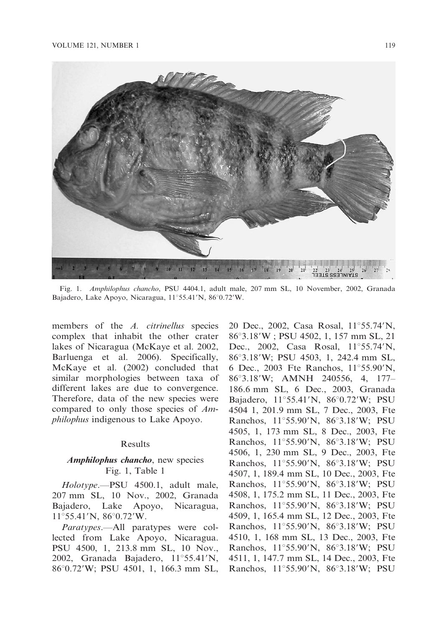

Fig. 1. Amphilophus chancho, PSU 4404.1, adult male, 207 mm SL, 10 November, 2002, Granada Bajadero, Lake Apoyo, Nicaragua, 11°55.41'N, 86°0.72'W.

members of the A. citrinellus species complex that inhabit the other crater lakes of Nicaragua (McKaye et al. 2002, Barluenga et al. 2006). Specifically, McKaye et al. (2002) concluded that similar morphologies between taxa of different lakes are due to convergence. Therefore, data of the new species were compared to only those species of Amphilophus indigenous to Lake Apoyo.

#### Results

## Amphilophus chancho, new species Fig. 1, Table 1

Holotype.—PSU 4500.1, adult male, 207 mm SL, 10 Nov., 2002, Granada Bajadero, Lake Apoyo, Nicaragua,  $11^{\circ}$ 55.41'N, 86 $^{\circ}$ 0.72'W.

Paratypes.—All paratypes were collected from Lake Apoyo, Nicaragua. PSU 4500, 1, 213.8 mm SL, 10 Nov., 2002, Granada Bajadero,  $11^{\circ}55.41'N$ , 86°0.72′W; PSU 4501, 1, 166.3 mm SL, 20 Dec., 2002, Casa Rosal, 11°55.74'N, 86°3.18′W ; PSU 4502, 1, 157 mm SL, 21 Dec., 2002, Casa Rosal,  $11^{\circ}55.74^{\prime}N$ , 86°3.18′W; PSU 4503, 1, 242.4 mm SL, 6 Dec., 2003 Fte Ranchos, 11°55.90'N, 86°3.18′W; AMNH 240556, 4, 177– 186.6 mm SL, 6 Dec., 2003, Granada Bajadero,  $11^{\circ}55.41'N$ ,  $86^{\circ}0.72'W$ ; PSU 4504 1, 201.9 mm SL, 7 Dec., 2003, Fte Ranchos, 11°55.90'N, 86°3.18'W; PSU 4505, 1, 173 mm SL, 8 Dec., 2003, Fte Ranchos, 11°55.90'N, 86°3.18'W; PSU 4506, 1, 230 mm SL, 9 Dec., 2003, Fte Ranchos, 11°55.90'N, 86°3.18'W; PSU 4507, 1, 189.4 mm SL, 10 Dec., 2003, Fte Ranchos, 11°55.90'N, 86°3.18'W; PSU 4508, 1, 175.2 mm SL, 11 Dec., 2003, Fte Ranchos, 11°55.90'N, 86°3.18'W; PSU 4509, 1, 165.4 mm SL, 12 Dec., 2003, Fte Ranchos, 11°55.90'N, 86°3.18'W; PSU 4510, 1, 168 mm SL, 13 Dec., 2003, Fte Ranchos, 11°55.90'N, 86°3.18'W; PSU 4511, 1, 147.7 mm SL, 14 Dec., 2003, Fte Ranchos, 11°55.90'N, 86°3.18'W; PSU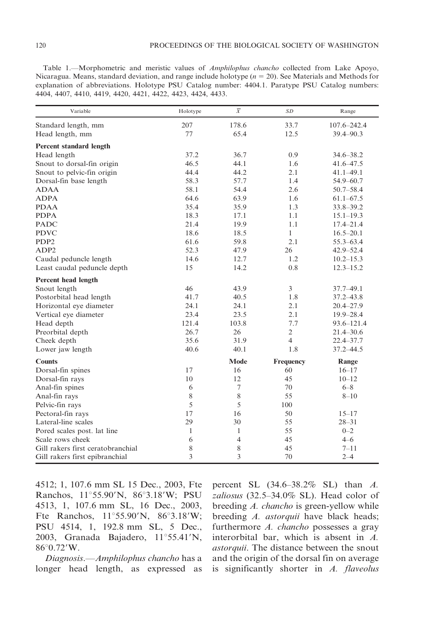Table 1.—Morphometric and meristic values of Amphilophus chancho collected from Lake Apoyo, Nicaragua. Means, standard deviation, and range include holotype ( $n = 20$ ). See Materials and Methods for explanation of abbreviations. Holotype PSU Catalog number: 4404.1. Paratype PSU Catalog numbers:

4404, 4407, 4410, 4419, 4420, 4421, 4422, 4423, 4424, 4433.

| Variable                          | Holotype     | $\overline{X}$ | <b>SD</b>      | Range           |
|-----------------------------------|--------------|----------------|----------------|-----------------|
| Standard length, mm               | 207          | 178.6          | 33.7           | $107.6 - 242.4$ |
| Head length, mm                   | 77           | 65.4           | 12.5           | 39.4-90.3       |
| <b>Percent standard length</b>    |              |                |                |                 |
| Head length                       | 37.2         | 36.7           | 0.9            | $34.6 - 38.2$   |
| Snout to dorsal-fin origin        | 46.5         | 44.1           | 1.6            | 41.6-47.5       |
| Snout to pelvic-fin origin        | 44.4         | 44.2           | 2.1            | $41.1 - 49.1$   |
| Dorsal-fin base length            | 58.3         | 57.7           | 1.4            | 54.9-60.7       |
| <b>ADAA</b>                       | 58.1         | 54.4           | 2.6            | $50.7 - 58.4$   |
| <b>ADPA</b>                       | 64.6         | 63.9           | 1.6            | $61.1 - 67.5$   |
| <b>PDAA</b>                       | 35.4         | 35.9           | 1.3            | 33.8-39.2       |
| <b>PDPA</b>                       | 18.3         | 17.1           | 1.1            | $15.1 - 19.3$   |
| <b>PADC</b>                       | 21.4         | 19.9           | 1.1            | $17.4 - 21.4$   |
| <b>PDVC</b>                       | 18.6         | 18.5           | $\mathbf{1}$   | $16.5 - 20.1$   |
| PDP <sub>2</sub>                  | 61.6         | 59.8           | 2.1            | $55.3 - 63.4$   |
| ADP <sub>2</sub>                  | 52.3         | 47.9           | 26             | $42.9 - 52.4$   |
| Caudal peduncle length            | 14.6         | 12.7           | 1.2            | $10.2 - 15.3$   |
| Least caudal peduncle depth       | 15           | 14.2           | 0.8            | $12.3 - 15.2$   |
| Percent head length               |              |                |                |                 |
| Snout length                      | 46           | 43.9           | $\overline{3}$ | $37.7 - 49.1$   |
| Postorbital head length           | 41.7         | 40.5           | 1.8            | $37.2 - 43.8$   |
| Horizontal eye diameter           | 24.1         | 24.1           | 2.1            | $20.4 - 27.9$   |
| Vertical eye diameter             | 23.4         | 23.5           | 2.1            | $19.9 - 28.4$   |
| Head depth                        | 121.4        | 103.8          | 7.7            | 93.6-121.4      |
| Preorbital depth                  | 26.7         | 26             | $\overline{2}$ | $21.4 - 30.6$   |
| Cheek depth                       | 35.6         | 31.9           | $\overline{4}$ | $22.4 - 37.7$   |
| Lower jaw length                  | 40.6         | 40.1           | 1.8            | $37.2 - 44.5$   |
| <b>Counts</b>                     |              | <b>Mode</b>    | Frequency      | Range           |
| Dorsal-fin spines                 | 17           | 16             | 60             | $16 - 17$       |
| Dorsal-fin rays                   | 10           | 12             | 45             | $10 - 12$       |
| Anal-fin spines                   | 6            | 7              | 70             | $6 - 8$         |
| Anal-fin rays                     | 8            | 8              | 55             | $8 - 10$        |
| Pelvic-fin rays                   | 5            | 5              | 100            |                 |
| Pectoral-fin rays                 | 17           | 16             | 50             | $15 - 17$       |
| Lateral-line scales               | 29           | 30             | 55             | $28 - 31$       |
| Pored scales post. lat line       | $\mathbf{1}$ | $\mathbf{1}$   | 55             | $0 - 2$         |
| Scale rows cheek                  | 6            | $\overline{4}$ | 45             | $4 - 6$         |
| Gill rakers first ceratobranchial | 8            | 8              | 45             | $7 - 11$        |
| Gill rakers first epibranchial    | 3            | 3              | 70             | $2 - 4$         |

4512; 1, 107.6 mm SL 15 Dec., 2003, Fte Ranchos, 11°55.90'N, 86°3.18'W; PSU 4513, 1, 107.6 mm SL, 16 Dec., 2003, Fte Ranchos,  $11^{\circ}55.90'$ N,  $86^{\circ}3.18'$ W; PSU 4514, 1, 192.8 mm SL, 5 Dec., 2003, Granada Bajadero, 11°55.41'N,  $86^{\circ}0.72^{\prime}$ W.

Diagnosis.—Amphilophus chancho has a longer head length, as expressed as percent SL (34.6–38.2% SL) than A. zaliosus (32.5–34.0% SL). Head color of breeding A. chancho is green-yellow while breeding A. astorquii have black heads; furthermore A. chancho possesses a gray interorbital bar, which is absent in A. astorquii. The distance between the snout and the origin of the dorsal fin on average is significantly shorter in A. flaveolus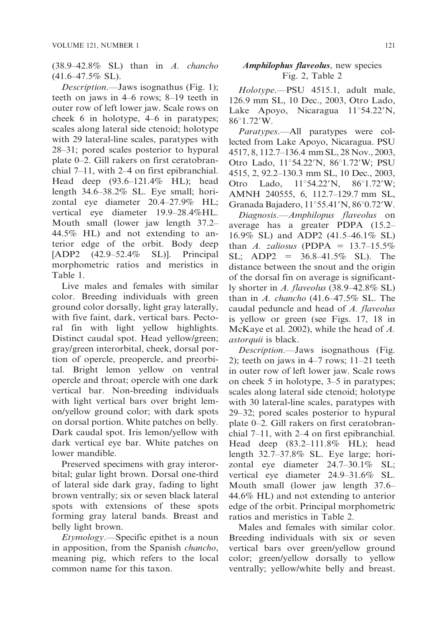(38.9–42.8% SL) than in A. chancho  $(41.6 - 47.5\%$  SL).

Description.—Jaws isognathus (Fig. 1); teeth on jaws in 4–6 rows; 8–19 teeth in outer row of left lower jaw. Scale rows on cheek 6 in holotype, 4–6 in paratypes; scales along lateral side ctenoid; holotype with 29 lateral-line scales, paratypes with 28–31; pored scales posterior to hypural plate 0–2. Gill rakers on first ceratobranchial 7–11, with 2–4 on first epibranchial. Head deep (93.6–121.4% HL); head length 34.6–38.2% SL. Eye small; horizontal eye diameter 20.4–27.9% HL; vertical eye diameter 19.9–28.4%HL. Mouth small (lower jaw length 37.2– 44.5% HL) and not extending to anterior edge of the orbit. Body deep [ADP2 (42.9–52.4% SL)]. Principal morphometric ratios and meristics in Table 1.

Live males and females with similar color. Breeding individuals with green ground color dorsally, light gray laterally, with five faint, dark, vertical bars. Pectoral fin with light yellow highlights. Distinct caudal spot. Head yellow/green; gray/green interorbital, cheek, dorsal portion of opercle, preopercle, and preorbital. Bright lemon yellow on ventral opercle and throat; opercle with one dark vertical bar. Non-breeding individuals with light vertical bars over bright lemon/yellow ground color; with dark spots on dorsal portion. White patches on belly. Dark caudal spot. Iris lemon/yellow with dark vertical eye bar. White patches on lower mandible.

Preserved specimens with gray interorbital; gular light brown. Dorsal one-third of lateral side dark gray, fading to light brown ventrally; six or seven black lateral spots with extensions of these spots forming gray lateral bands. Breast and belly light brown.

Etymology.—Specific epithet is a noun in apposition, from the Spanish chancho, meaning pig, which refers to the local common name for this taxon.

## Amphilophus flaveolus, new species Fig. 2, Table 2

Holotype.—PSU 4515.1, adult male, 126.9 mm SL, 10 Dec., 2003, Otro Lado, Lake Apoyo, Nicaragua  $11^{\circ}54.22^{\prime}N$ , 86°1.72'W.

Paratypes.—All paratypes were collected from Lake Apoyo, Nicaragua. PSU 4517, 8, 112.7–136.4 mm SL, 28 Nov., 2003, Otro Lado, 11°54.22′N, 86°1.72′W; PSU 4515, 2, 92.2–130.3 mm SL, 10 Dec., 2003, Otro Lado,  $11^{\circ}54.22'N$ ,  $86^{\circ}1.72'W$ ; AMNH 240555, 6, 112.7–129.7 mm SL, Granada Bajadero,  $11^{\circ}55.41'$ N,  $86^{\circ}0.72'$ W.

Diagnosis.—Amphilopus flaveolus on average has a greater PDPA (15.2– 16.9% SL) and ADP2 (41.5–46.1% SL) than A. zaliosus (PDPA =  $13.7-15.5\%$  $SL$ ; ADP2 = 36.8–41.5% SL). The distance between the snout and the origin of the dorsal fin on average is significantly shorter in A. flaveolus (38.9–42.8% SL) than in A. chancho  $(41.6-47.5\%$  SL. The caudal peduncle and head of A. flaveolus is yellow or green (see Figs. 17, 18 in McKaye et al. 2002), while the head of A. astorquii is black.

Description.—Jaws isognathous (Fig. 2); teeth on jaws in 4–7 rows; 11–21 teeth in outer row of left lower jaw. Scale rows on cheek 5 in holotype, 3–5 in paratypes; scales along lateral side ctenoid; holotype with 30 lateral-line scales, paratypes with 29–32; pored scales posterior to hypural plate 0–2. Gill rakers on first ceratobranchial 7–11, with 2–4 on first epibranchial. Head deep (83.2–111.8% HL); head length 32.7–37.8% SL. Eye large; horizontal eye diameter 24.7–30.1% SL; vertical eye diameter 24.9–31.6% SL. Mouth small (lower jaw length 37.6– 44.6% HL) and not extending to anterior edge of the orbit. Principal morphometric ratios and meristics in Table 2.

Males and females with similar color. Breeding individuals with six or seven vertical bars over green/yellow ground color; green/yellow dorsally to yellow ventrally; yellow/white belly and breast.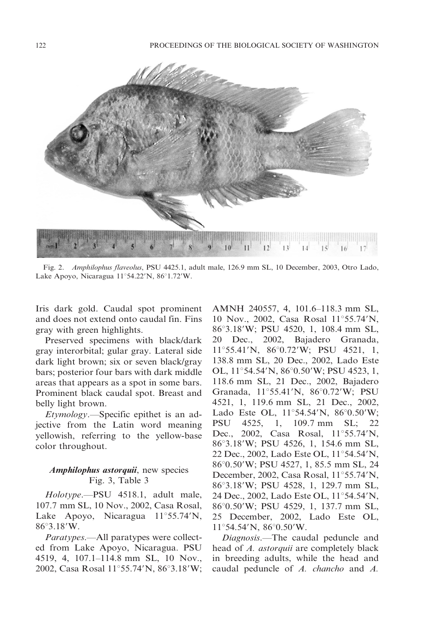

Fig. 2. Amphilophus flaveolus, PSU 4425.1, adult male, 126.9 mm SL, 10 December, 2003, Otro Lado, Lake Apoyo, Nicaragua 11°54.22'N, 86°1.72'W.

Iris dark gold. Caudal spot prominent and does not extend onto caudal fin. Fins gray with green highlights.

Preserved specimens with black/dark gray interorbital; gular gray. Lateral side dark light brown; six or seven black/gray bars; posterior four bars with dark middle areas that appears as a spot in some bars. Prominent black caudal spot. Breast and belly light brown.

Etymology.—Specific epithet is an adjective from the Latin word meaning yellowish, referring to the yellow-base color throughout.

### Amphilophus astorquii, new species Fig. 3, Table 3

Holotype.—PSU 4518.1, adult male, 107.7 mm SL, 10 Nov., 2002, Casa Rosal, Lake Apoyo, Nicaragua  $11^{\circ}55.74^{\prime}N$ ,  $86^{\circ}3.18^{\prime}W$ .

Paratypes.—All paratypes were collected from Lake Apoyo, Nicaragua. PSU 4519, 4, 107.1–114.8 mm SL, 10 Nov., 2002, Casa Rosal 11°55.74'N, 86°3.18'W;

AMNH 240557, 4, 101.6–118.3 mm SL, 10 Nov., 2002, Casa Rosal  $11^{\circ}55.74^{\prime}N$ , 86°3.18′W; PSU 4520, 1, 108.4 mm SL, 20 Dec., 2002, Bajadero Granada, 11°55.41'N, 86°0.72'W; PSU 4521, 1, 138.8 mm SL, 20 Dec., 2002, Lado Este OL,  $11^{\circ}54.54^{\prime}$ N,  $86^{\circ}0.50^{\prime}$ W; PSU 4523, 1, 118.6 mm SL, 21 Dec., 2002, Bajadero Granada, 11°55.41'N, 86°0.72'W; PSU 4521, 1, 119.6 mm SL, 21 Dec., 2002, Lado Este OL,  $11^{\circ}54.54^{\prime}N$ ,  $86^{\circ}0.50^{\prime}W$ ; PSU 4525, 1, 109.7 mm SL; 22 Dec., 2002, Casa Rosal,  $11^{\circ}55.74^{\prime}N$ , 86°3.18′W; PSU 4526, 1, 154.6 mm SL, 22 Dec., 2002, Lado Este OL, 11°54.54'N, 86°0.50′W; PSU 4527, 1, 85.5 mm SL, 24 December, 2002, Casa Rosal,  $11^{\circ}55.74^{\prime}N$ , 86°3.18′W; PSU 4528, 1, 129.7 mm SL, 24 Dec., 2002, Lado Este OL, 11°54.54'N, 86°0.50'W; PSU 4529, 1, 137.7 mm SL, 25 December, 2002, Lado Este OL,  $11^{\circ}$ 54.54'N, 86 $^{\circ}$ 0.50'W.

Diagnosis.—The caudal peduncle and head of A. *astorquii* are completely black in breeding adults, while the head and caudal peduncle of A. chancho and A.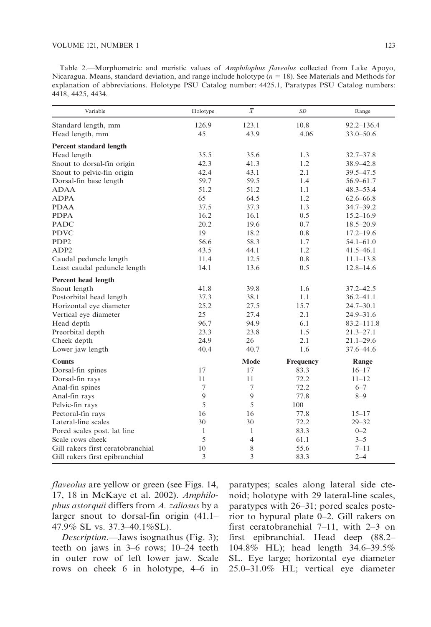Table 2.—Morphometric and meristic values of Amphilophus flaveolus collected from Lake Apoyo, Nicaragua. Means, standard deviation, and range include holotype ( $n = 18$ ). See Materials and Methods for explanation of abbreviations. Holotype PSU Catalog number: 4425.1, Paratypes PSU Catalog numbers: 4418, 4425, 4434.

| Variable                          | Holotype       | $\overline{X}$ | SD        | Range          |
|-----------------------------------|----------------|----------------|-----------|----------------|
| Standard length, mm               | 126.9          | 123.1          | 10.8      | $92.2 - 136.4$ |
| Head length, mm                   | 45             | 43.9           | 4.06      | $33.0 - 50.6$  |
| <b>Percent standard length</b>    |                |                |           |                |
| Head length                       | 35.5           | 35.6           | 1.3       | $32.7 - 37.8$  |
| Snout to dorsal-fin origin        | 42.3           | 41.3           | 1.2       | 38.9 - 42.8    |
| Snout to pelvic-fin origin        | 42.4           | 43.1           | 2.1       | 39.5-47.5      |
| Dorsal-fin base length            | 59.7           | 59.5           | 1.4       | $56.9 - 61.7$  |
| <b>ADAA</b>                       | 51.2           | 51.2           | 1.1       | $48.3 - 53.4$  |
| <b>ADPA</b>                       | 65             | 64.5           | 1.2       | $62.6 - 66.8$  |
| <b>PDAA</b>                       | 37.5           | 37.3           | 1.3       | $34.7 - 39.2$  |
| <b>PDPA</b>                       | 16.2           | 16.1           | 0.5       | $15.2 - 16.9$  |
| <b>PADC</b>                       | 20.2           | 19.6           | 0.7       | $18.5 - 20.9$  |
| <b>PDVC</b>                       | 19             | 18.2           | 0.8       | $17.2 - 19.6$  |
| PDP <sub>2</sub>                  | 56.6           | 58.3           | 1.7       | $54.1 - 61.0$  |
| ADP <sub>2</sub>                  | 43.5           | 44.1           | 1.2       | $41.5 - 46.1$  |
| Caudal peduncle length            | 11.4           | 12.5           | 0.8       | $11.1 - 13.8$  |
| Least caudal peduncle length      | 14.1           | 13.6           | 0.5       | $12.8 - 14.6$  |
| Percent head length               |                |                |           |                |
| Snout length                      | 41.8           | 39.8           | 1.6       | $37.2 - 42.5$  |
| Postorbital head length           | 37.3           | 38.1           | 1.1       | $36.2 - 41.1$  |
| Horizontal eye diameter           | 25.2           | 27.5           | 15.7      | $24.7 - 30.1$  |
| Vertical eye diameter             | 25             | 27.4           | 2.1       | $24.9 - 31.6$  |
| Head depth                        | 96.7           | 94.9           | 6.1       | $83.2 - 111.8$ |
| Preorbital depth                  | 23.3           | 23.8           | 1.5       | $21.3 - 27.1$  |
| Cheek depth                       | 24.9           | 26             | 2.1       | $21.1 - 29.6$  |
| Lower jaw length                  | 40.4           | 40.7           | 1.6       | 37.6 - 44.6    |
| <b>Counts</b>                     |                | Mode           | Frequency | Range          |
| Dorsal-fin spines                 | 17             | 17             | 83.3      | $16 - 17$      |
| Dorsal-fin rays                   | 11             | 11             | 72.2      | $11 - 12$      |
| Anal-fin spines                   | $\overline{7}$ | $\overline{7}$ | 72.2      | $6 - 7$        |
| Anal-fin rays                     | 9              | 9              | 77.8      | $8 - 9$        |
| Pelvic-fin rays                   | 5              | 5              | 100       |                |
| Pectoral-fin rays                 | 16             | 16             | 77.8      | $15 - 17$      |
| Lateral-line scales               | 30             | 30             | 72.2      | $29 - 32$      |
| Pored scales post. lat line       | $\mathbf{1}$   | $\mathbf{1}$   | 83.3      | $0 - 2$        |
| Scale rows cheek                  | 5              | 4              | 61.1      | $3 - 5$        |
| Gill rakers first ceratobranchial | 10             | 8              | 55.6      | $7 - 11$       |
| Gill rakers first epibranchial    | 3              | 3              | 83.3      | $2 - 4$        |

flaveolus are yellow or green (see Figs. 14, 17, 18 in McKaye et al. 2002). Amphilophus astorquii differs from A. zaliosus by a larger snout to dorsal-fin origin (41.1– 47.9% SL vs. 37.3–40.1%SL).

Description.—Jaws isognathus (Fig. 3); teeth on jaws in 3–6 rows; 10–24 teeth in outer row of left lower jaw. Scale rows on cheek 6 in holotype, 4–6 in paratypes; scales along lateral side ctenoid; holotype with 29 lateral-line scales, paratypes with 26–31; pored scales posterior to hypural plate 0–2. Gill rakers on first ceratobranchial 7–11, with 2–3 on first epibranchial. Head deep (88.2– 104.8% HL); head length 34.6–39.5% SL. Eye large; horizontal eye diameter 25.0–31.0% HL; vertical eye diameter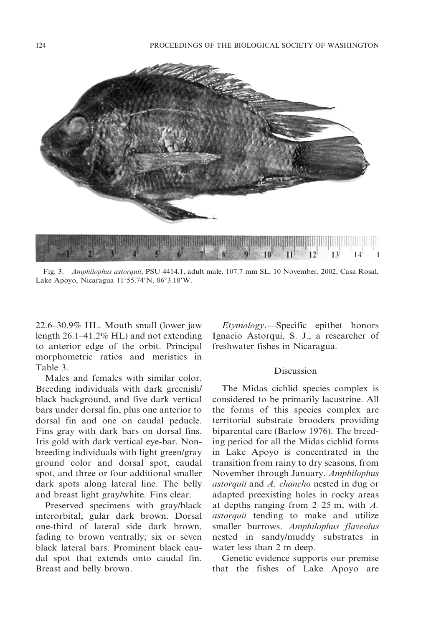

Fig. 3. Amphilophus astorquii, PSU 4414.1, adult male, 107.7 mm SL, 10 November, 2002, Casa Rosal, Lake Apoyo, Nicaragua  $11^{\circ}55.74^{\prime}N$ ,  $86^{\circ}3.18^{\prime}W$ .

22.6–30.9% HL. Mouth small (lower jaw length 26.1–41.2% HL) and not extending to anterior edge of the orbit. Principal morphometric ratios and meristics in Table 3.

Males and females with similar color. Breeding individuals with dark greenish/ black background, and five dark vertical bars under dorsal fin, plus one anterior to dorsal fin and one on caudal peducle. Fins gray with dark bars on dorsal fins. Iris gold with dark vertical eye-bar. Nonbreeding individuals with light green/gray ground color and dorsal spot, caudal spot, and three or four additional smaller dark spots along lateral line. The belly and breast light gray/white. Fins clear.

Preserved specimens with gray/black interorbital; gular dark brown. Dorsal one-third of lateral side dark brown, fading to brown ventrally; six or seven black lateral bars. Prominent black caudal spot that extends onto caudal fin. Breast and belly brown.

Etymology.—Specific epithet honors Ignacio Astorqui, S. J., a researcher of freshwater fishes in Nicaragua.

#### Discussion

The Midas cichlid species complex is considered to be primarily lacustrine. All the forms of this species complex are territorial substrate brooders providing biparental care (Barlow 1976). The breeding period for all the Midas cichlid forms in Lake Apoyo is concentrated in the transition from rainy to dry seasons, from November through January. Amphilophus astorquii and A. chancho nested in dug or adapted preexisting holes in rocky areas at depths ranging from  $2-25$  m, with  $A$ . astorquii tending to make and utilize smaller burrows. Amphilophus flaveolus nested in sandy/muddy substrates in water less than 2 m deep.

Genetic evidence supports our premise that the fishes of Lake Apoyo are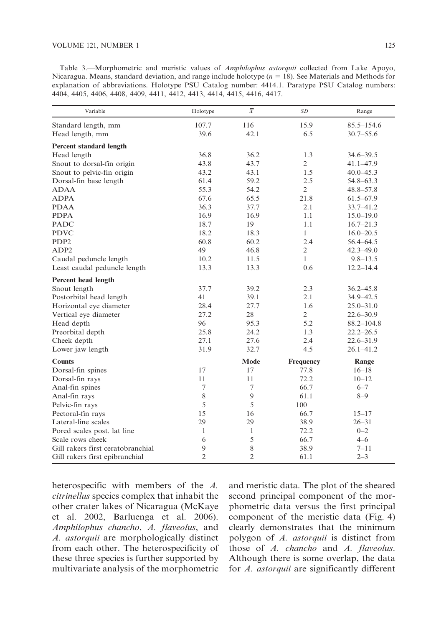Table 3.—Morphometric and meristic values of Amphilophus astorquii collected from Lake Apoyo, Nicaragua. Means, standard deviation, and range include holotype ( $n = 18$ ). See Materials and Methods for explanation of abbreviations. Holotype PSU Catalog number: 4414.1. Paratype PSU Catalog numbers: 4404, 4405, 4406, 4408, 4409, 4411, 4412, 4413, 4414, 4415, 4416, 4417.

| Variable                          | Holotype       | $\overline{X}$ | SD             | Range          |
|-----------------------------------|----------------|----------------|----------------|----------------|
| Standard length, mm               | 107.7          | 116            | 15.9           | $85.5 - 154.6$ |
| Head length, mm                   | 39.6           | 42.1           | 6.5            | $30.7 - 55.6$  |
| <b>Percent standard length</b>    |                |                |                |                |
| Head length                       | 36.8           | 36.2           | 1.3            | $34.6 - 39.5$  |
| Snout to dorsal-fin origin        | 43.8           | 43.7           | $\overline{2}$ | $41.1 - 47.9$  |
| Snout to pelvic-fin origin        | 43.2           | 43.1           | 1.5            | $40.0 - 45.3$  |
| Dorsal-fin base length            | 61.4           | 59.2           | 2.5            | 54.8-63.3      |
| <b>ADAA</b>                       | 55.3           | 54.2           | $\overline{2}$ | $48.8 - 57.8$  |
| <b>ADPA</b>                       | 67.6           | 65.5           | 21.8           | $61.5 - 67.9$  |
| <b>PDAA</b>                       | 36.3           | 37.7           | 2.1            | 33.7-41.2      |
| <b>PDPA</b>                       | 16.9           | 16.9           | 1.1            | $15.0 - 19.0$  |
| <b>PADC</b>                       | 18.7           | 19             | 1.1            | $16.7 - 21.3$  |
| <b>PDVC</b>                       | 18.2           | 18.3           | $\mathbf{1}$   | $16.0 - 20.5$  |
| PDP <sub>2</sub>                  | 60.8           | 60.2           | 2.4            | 56.4-64.5      |
| ADP <sub>2</sub>                  | 49             | 46.8           | $\overline{2}$ | $42.3 - 49.0$  |
| Caudal peduncle length            | 10.2           | 11.5           | $\mathbf{1}$   | $9.8 - 13.5$   |
| Least caudal peduncle length      | 13.3           | 13.3           | 0.6            | $12.2 - 14.4$  |
| Percent head length               |                |                |                |                |
| Snout length                      | 37.7           | 39.2           | 2.3            | $36.2 - 45.8$  |
| Postorbital head length           | 41             | 39.1           | 2.1            | 34.9 - 42.5    |
| Horizontal eye diameter           | 28.4           | 27.7           | 1.6            | $25.0 - 31.0$  |
| Vertical eye diameter             | 27.2           | 28             | $\overline{2}$ | $22.6 - 30.9$  |
| Head depth                        | 96             | 95.3           | 5.2            | $88.2 - 104.8$ |
| Preorbital depth                  | 25.8           | 24.2           | 1.3            | $22.2 - 26.5$  |
| Cheek depth                       | 27.1           | 27.6           | 2.4            | $22.6 - 31.9$  |
| Lower jaw length                  | 31.9           | 32.7           | 4.5            | $26.1 - 41.2$  |
| <b>Counts</b>                     |                | Mode           | Frequency      | Range          |
| Dorsal-fin spines                 | 17             | 17             | 77.8           | $16 - 18$      |
| Dorsal-fin rays                   | 11             | 11             | 72.2           | $10 - 12$      |
| Anal-fin spines                   | 7              | $\overline{7}$ | 66.7           | $6 - 7$        |
| Anal-fin rays                     | 8              | 9              | 61.1           | $8 - 9$        |
| Pelvic-fin rays                   | 5              | 5              | 100            |                |
| Pectoral-fin rays                 | 15             | 16             | 66.7           | $15 - 17$      |
| Lateral-line scales               | 29             | 29             | 38.9           | $26 - 31$      |
| Pored scales post. lat line       | $\mathbf{1}$   | 1              | 72.2           | $0 - 2$        |
| Scale rows cheek                  | 6              | 5              | 66.7           | $4 - 6$        |
| Gill rakers first ceratobranchial | 9              | 8              | 38.9           | $7 - 11$       |
| Gill rakers first epibranchial    | $\overline{2}$ | $\overline{2}$ | 61.1           | $2 - 3$        |

heterospecific with members of the A. citrinellus species complex that inhabit the other crater lakes of Nicaragua (McKaye et al. 2002, Barluenga et al. 2006). Amphilophus chancho, A. flaveolus, and A. astorquii are morphologically distinct from each other. The heterospecificity of these three species is further supported by multivariate analysis of the morphometric and meristic data. The plot of the sheared second principal component of the morphometric data versus the first principal component of the meristic data (Fig. 4) clearly demonstrates that the minimum polygon of A. astorquii is distinct from those of A. chancho and A. flaveolus. Although there is some overlap, the data for A. astorquii are significantly different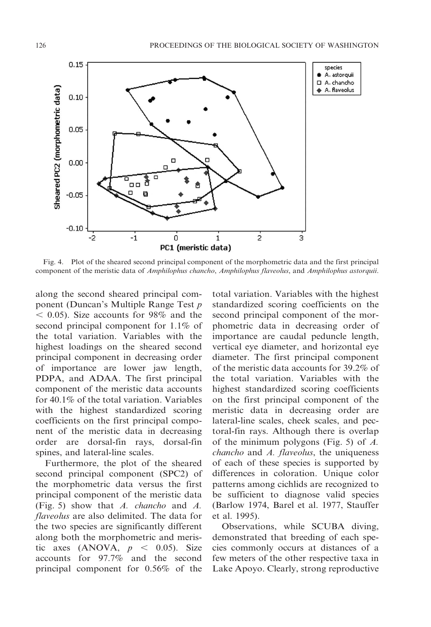

Fig. 4. Plot of the sheared second principal component of the morphometric data and the first principal component of the meristic data of Amphilophus chancho, Amphilophus flaveolus, and Amphilophus astorquii.

along the second sheared principal component (Duncan's Multiple Range Test p  $<$  0.05). Size accounts for 98% and the second principal component for 1.1% of the total variation. Variables with the highest loadings on the sheared second principal component in decreasing order of importance are lower jaw length, PDPA, and ADAA. The first principal component of the meristic data accounts for 40.1% of the total variation. Variables with the highest standardized scoring coefficients on the first principal component of the meristic data in decreasing order are dorsal-fin rays, dorsal-fin spines, and lateral-line scales.

Furthermore, the plot of the sheared second principal component (SPC2) of the morphometric data versus the first principal component of the meristic data (Fig. 5) show that A. chancho and A. flaveolus are also delimited. The data for the two species are significantly different along both the morphometric and meristic axes (ANOVA,  $p < 0.05$ ). Size accounts for 97.7% and the second principal component for 0.56% of the

total variation. Variables with the highest standardized scoring coefficients on the second principal component of the morphometric data in decreasing order of importance are caudal peduncle length, vertical eye diameter, and horizontal eye diameter. The first principal component of the meristic data accounts for 39.2% of the total variation. Variables with the highest standardized scoring coefficients on the first principal component of the meristic data in decreasing order are lateral-line scales, cheek scales, and pectoral-fin rays. Although there is overlap of the minimum polygons (Fig. 5) of A. chancho and A. flaveolus, the uniqueness of each of these species is supported by differences in coloration. Unique color patterns among cichlids are recognized to be sufficient to diagnose valid species (Barlow 1974, Barel et al. 1977, Stauffer et al. 1995).

Observations, while SCUBA diving, demonstrated that breeding of each species commonly occurs at distances of a few meters of the other respective taxa in Lake Apoyo. Clearly, strong reproductive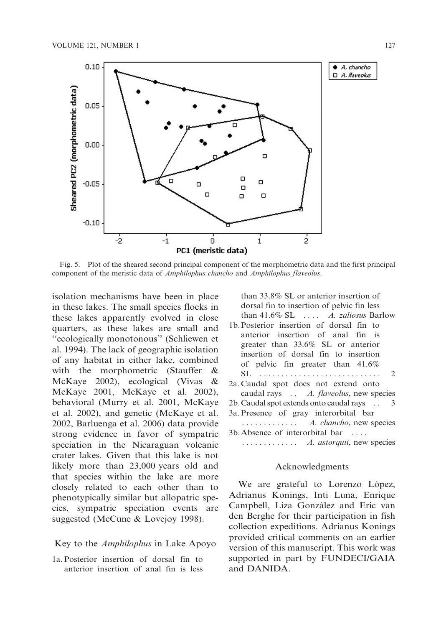

Fig. 5. Plot of the sheared second principal component of the morphometric data and the first principal component of the meristic data of Amphilophus chancho and Amphilophus flaveolus.

isolation mechanisms have been in place in these lakes. The small species flocks in these lakes apparently evolved in close quarters, as these lakes are small and ''ecologically monotonous'' (Schliewen et al. 1994). The lack of geographic isolation of any habitat in either lake, combined with the morphometric (Stauffer & McKaye 2002), ecological (Vivas & McKaye 2001, McKaye et al. 2002), behavioral (Murry et al. 2001, McKaye et al. 2002), and genetic (McKaye et al. 2002, Barluenga et al. 2006) data provide strong evidence in favor of sympatric speciation in the Nicaraguan volcanic crater lakes. Given that this lake is not likely more than 23,000 years old and that species within the lake are more closely related to each other than to phenotypically similar but allopatric species, sympatric speciation events are suggested (McCune & Lovejoy 1998).

### Key to the *Amphilophus* in Lake Apoyo

1a. Posterior insertion of dorsal fin to anterior insertion of anal fin is less

than 33.8% SL or anterior insertion of dorsal fin to insertion of pelvic fin less than  $41.6\%$  SL  $\ldots$  *A. zaliosus* Barlow 1b.Posterior insertion of dorsal fin to anterior insertion of anal fin is greater than 33.6% SL or anterior insertion of dorsal fin to insertion of pelvic fin greater than 41.6% SL . . . . . . . . . . . . . . . . . . . . . . . . . . . . 2 2a. Caudal spot does not extend onto

caudal rays . . . A. flaveolus, new species 2b. Caudal spot extends onto caudal rays . . . 3a. Presence of gray interorbital bar ............. A. chancho, new species 3b.Absence of interorbital bar . . . .

# ............. A. astorquii, new species

# Acknowledgments

We are grateful to Lorenzo López, Adrianus Konings, Inti Luna, Enrique Campbell, Liza González and Eric van den Berghe for their participation in fish collection expeditions. Adrianus Konings provided critical comments on an earlier version of this manuscript. This work was supported in part by FUNDECI/GAIA and DANIDA.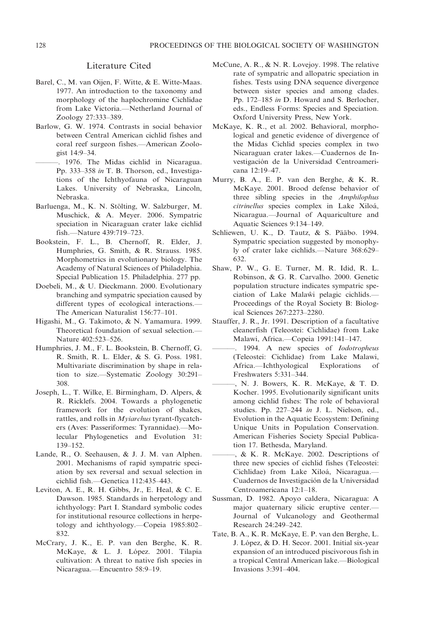### Literature Cited

- Barel, C., M. van Oijen, F. Witte, & E. Witte-Maas. 1977. An introduction to the taxonomy and morphology of the haplochromine Cichlidae from Lake Victoria.—Netherland Journal of Zoology 27:333–389.
- Barlow, G. W. 1974. Contrasts in social behavior between Central American cichlid fishes and coral reef surgeon fishes.—American Zoologist 14:9–34.
- ———. 1976. The Midas cichlid in Nicaragua. Pp. 333–358 in T. B. Thorson, ed., Investigations of the Ichthyofauna of Nicaraguan Lakes. University of Nebraska, Lincoln, Nebraska.
- Barluenga, M., K. N. Stölting, W. Salzburger, M. Muschick, & A. Meyer. 2006. Sympatric speciation in Nicaraguan crater lake cichlid fish.—Nature 439:719–723.
- Bookstein, F. L., B. Chernoff, R. Elder, J. Humphries, G. Smith, & R. Strauss. 1985. Morphometrics in evolutionary biology. The Academy of Natural Sciences of Philadelphia. Special Publication 15. Philadelphia. 277 pp.
- Doebeli, M., & U. Dieckmann. 2000. Evolutionary branching and sympatric speciation caused by different types of ecological interactions.— The American Naturalist 156:77–101.
- Higashi, M., G. Takimoto, & N. Yamamura. 1999. Theoretical foundation of sexual selection.— Nature 402:523–526.
- Humphries, J. M., F. L. Bookstein, B. Chernoff, G. R. Smith, R. L. Elder, & S. G. Poss. 1981. Multivariate discrimination by shape in relation to size.—Systematic Zoology 30:291– 308.
- Joseph, L., T. Wilke, E. Birmingham, D. Alpers, & R. Ricklefs. 2004. Towards a phylogenetic framework for the evolution of shakes, rattles, and rolls in Myiarchus tyrant-flycatchers (Aves: Passeriformes: Tyrannidae).—Molecular Phylogenetics and Evolution 31: 139–152.
- Lande, R., O. Seehausen, & J. J. M. van Alphen. 2001. Mechanisms of rapid sympatric speciation by sex reversal and sexual selection in cichlid fish.—Genetica 112:435–443.
- Leviton, A. E., R. H. Gibbs, Jr., E. Heal, & C. E. Dawson. 1985. Standards in herpetology and ichthyology: Part I. Standard symbolic codes for institutional resource collections in herpetology and ichthyology.—Copeia 1985:802– 832.
- McCrary, J. K., E. P. van den Berghe, K. R. McKaye, & L. J. López. 2001. Tilapia cultivation: A threat to native fish species in Nicaragua.—Encuentro 58:9–19.
- McCune, A. R., & N. R. Lovejoy. 1998. The relative rate of sympatric and allopatric speciation in fishes. Tests using DNA sequence divergence between sister species and among clades. Pp. 172–185 in D. Howard and S. Berlocher, eds., Endless Forms: Species and Speciation. Oxford University Press, New York.
- McKaye, K. R., et al. 2002. Behavioral, morphological and genetic evidence of divergence of the Midas Cichlid species complex in two Nicaraguan crater lakes.—Cuadernos de Investigación de la Universidad Centroamericana 12:19–47.
- Murry, B. A., E. P. van den Berghe, & K. R. McKaye. 2001. Brood defense behavior of three sibling species in the Amphilophus citrinellus species complex in Lake Xiloá, Nicaragua.—Journal of Aquariculture and Aquatic Sciences 9:134–149.
- Schliewen, U. K., D. Tautz, & S. Pääbo. 1994. Sympatric speciation suggested by monophyly of crater lake cichlids.—Nature 368:629– 632.
- Shaw, P. W., G. E. Turner, M. R. Idid, R. L. Robinson, & G. R. Carvalho. 2000. Genetic population structure indicates sympatric speciation of Lake Malawi pelagic cichlids.— Proceedings of the Royal Society B: Biological Sciences 267:2273–2280.
- Stauffer, J. R., Jr. 1991. Description of a facultative cleanerfish (Teleostei: Cichlidae) from Lake Malawi, Africa.—Copeia 1991:141–147.
	- 1994. A new species of Iodotropheus (Teleostei: Cichlidae) from Lake Malawi, Africa.—Ichthyological Explorations of Freshwaters 5:331–344.
	- N. J. Bowers, K. R. McKaye, & T. D. Kocher. 1995. Evolutionarily significant units among cichlid fishes: The role of behavioral studies. Pp. 227–244 in J. L. Nielson, ed., Evolution in the Aquatic Ecosystem: Defining Unique Units in Population Conservation. American Fisheries Society Special Publication 17. Bethesda, Maryland.
	- ———, & K. R. McKaye. 2002. Descriptions of three new species of cichlid fishes (Teleostei: Cichlidae) from Lake Xiloá, Nicaragua. Cuadernos de Investigación de la Universidad Centroamericana 12:1–18.
- Sussman, D. 1982. Apoyo caldera, Nicaragua: A major quaternary silicic eruptive center.— Journal of Vulcanology and Geothermal Research 24:249–242.
- Tate, B. A., K. R. McKaye, E. P. van den Berghe, L. J. López, & D. H. Secor. 2001. Initial six-year expansion of an introduced piscivorous fish in a tropical Central American lake.—Biological Invasions 3:391–404.